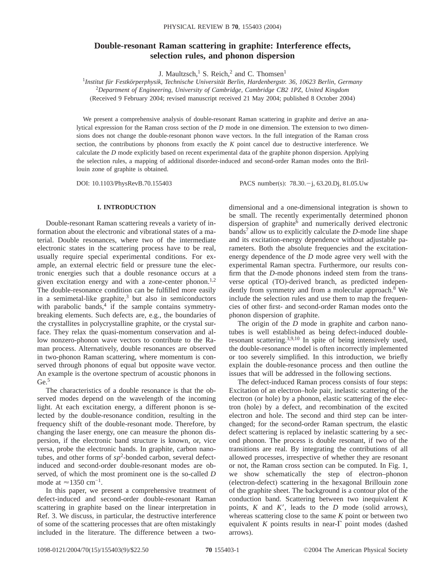# **Double-resonant Raman scattering in graphite: Interference effects, selection rules, and phonon dispersion**

J. Maultzsch,<sup>1</sup> S. Reich,<sup>2</sup> and C. Thomsen<sup>1</sup>

1 *Institut für Festkörperphysik, Technische Universität Berlin, Hardenbergstr. 36, 10623 Berlin, Germany* 2 *Department of Engineering, University of Cambridge, Cambridge CB2 1PZ, United Kingdom* (Received 9 February 2004; revised manuscript received 21 May 2004; published 8 October 2004)

We present a comprehensive analysis of double-resonant Raman scattering in graphite and derive an analytical expression for the Raman cross section of the *D* mode in one dimension. The extension to two dimensions does not change the double-resonant phonon wave vectors. In the full integration of the Raman cross section, the contributions by phonons from exactly the *K* point cancel due to destructive interference. We calculate the *D* mode explicitly based on recent experimental data of the graphite phonon dispersion. Applying the selection rules, a mapping of additional disorder-induced and second-order Raman modes onto the Brillouin zone of graphite is obtained.

DOI: 10.1103/PhysRevB.70.155403 PACS number(s): 78.30. -j, 63.20.Dj, 81.05.Uw

### **I. INTRODUCTION**

Double-resonant Raman scattering reveals a variety of information about the electronic and vibrational states of a material. Double resonances, where two of the intermediate electronic states in the scattering process have to be real, usually require special experimental conditions. For example, an external electric field or pressure tune the electronic energies such that a double resonance occurs at a given excitation energy and with a zone-center phonon.<sup>1,2</sup> The double-resonance condition can be fulfilled more easily in a semimetal-like graphite, $3$  but also in semiconductors with parabolic bands, $4$  if the sample contains symmetrybreaking elements. Such defects are, e.g., the boundaries of the crystallites in polycrystalline graphite, or the crystal surface. They relax the quasi-momentum conservation and allow nonzero-phonon wave vectors to contribute to the Raman process. Alternatively, double resonances are observed in two-phonon Raman scattering, where momentum is conserved through phonons of equal but opposite wave vector. An example is the overtone spectrum of acoustic phonons in Ge.<sup>5</sup>

The characteristics of a double resonance is that the observed modes depend on the wavelength of the incoming light. At each excitation energy, a different phonon is selected by the double-resonance condition, resulting in the frequency shift of the double-resonant mode. Therefore, by changing the laser energy, one can measure the phonon dispersion, if the electronic band structure is known, or, vice versa, probe the electronic bands. In graphite, carbon nanotubes, and other forms of  $sp^2$ -bonded carbon, several defectinduced and second-order double-resonant modes are observed, of which the most prominent one is the so-called *D* mode at  $\approx$ 1350 cm<sup>-1</sup>.

In this paper, we present a comprehensive treatment of defect-induced and second-order double-resonant Raman scattering in graphite based on the linear interpretation in Ref. 3. We discuss, in particular, the destructive interference of some of the scattering processes that are often mistakingly included in the literature. The difference between a twodimensional and a one-dimensional integration is shown to be small. The recently experimentally determined phonon dispersion of graphite<sup>6</sup> and numerically derived electronic bands7 allow us to explicitly calculate the *D*-mode line shape and its excitation-energy dependence without adjustable parameters. Both the absolute frequencies and the excitationenergy dependence of the *D* mode agree very well with the experimental Raman spectra. Furthermore, our results confirm that the *D*-mode phonons indeed stem from the transverse optical (TO)-derived branch, as predicted independently from symmetry and from a molecular approach.<sup>8</sup> We include the selection rules and use them to map the frequencies of other first- and second-order Raman modes onto the phonon dispersion of graphite.

The origin of the *D* mode in graphite and carbon nanotubes is well established as being defect-induced doubleresonant scattering.3,9,10 In spite of being intensively used, the double-resonance model is often incorrectly implemented or too severely simplified. In this introduction, we briefly explain the double-resonance process and then outline the issues that will be addressed in the following sections.

The defect-induced Raman process consists of four steps: Excitation of an electron–hole pair, inelastic scattering of the electron (or hole) by a phonon, elastic scattering of the electron (hole) by a defect, and recombination of the excited electron and hole. The second and third step can be interchanged; for the second-order Raman spectrum, the elastic defect scattering is replaced by inelastic scattering by a second phonon. The process is double resonant, if two of the transitions are real. By integrating the contributions of all allowed processes, irrespective of whether they are resonant or not, the Raman cross section can be computed. In Fig. 1, we show schematically the step of electron–phonon (electron-defect) scattering in the hexagonal Brillouin zone of the graphite sheet. The background is a contour plot of the conduction band. Scattering between two inequivalent *K* points,  $K$  and  $K'$ , leads to the  $D$  mode (solid arrows), whereas scattering close to the same *K* point or between two equivalent  $K$  points results in near- $\Gamma$  point modes (dashed arrows).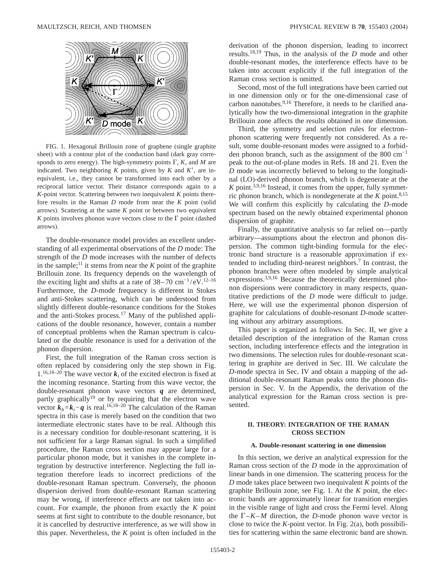

FIG. 1. Hexagonal Brillouin zone of graphene (single graphite sheet) with a contour plot of the conduction band (dark gray corresponds to zero energy). The high-symmetry points  $\Gamma$ ,  $K$ , and  $M$  are indicated. Two neighboring  $K$  points, given by  $K$  and  $K'$ , are inequivalent, i.e., they cannot be transformed into each other by a reciprocal lattice vector. Their distance corresponds again to a *K*-point vector. Scattering between two inequivalent *K* points therefore results in the Raman *D* mode from near the *K* point (solid arrows). Scattering at the same *K* point or between two equivalent *K* points involves phonon wave vectors close to the  $\Gamma$  point (dashed arrows).

The double-resonance model provides an excellent understanding of all experimental observations of the *D* mode: The strength of the *D* mode increases with the number of defects in the sample;<sup>11</sup> it stems from near the  $K$  point of the graphite Brillouin zone. Its frequency depends on the wavelength of the exciting light and shifts at a rate of  $38-70$  cm<sup>-1</sup>/eV.<sup>12–16</sup> Furthermore, the *D*-mode frequency is different in Stokes and anti-Stokes scattering, which can be understood from slightly different double-resonance conditions for the Stokes and the anti-Stokes process.<sup>17</sup> Many of the published applications of the double resonance, however, contain a number of conceptual problems when the Raman spectrum is calculated or the double resonance is used for a derivation of the phonon dispersion.

First, the full integration of the Raman cross section is often replaced by considering only the step shown in Fig. 1.<sup>16,18–20</sup> The wave vector  $\mathbf{k}_i$  of the excited electron is fixed at the incoming resonance. Starting from this wave vector, the double-resonant phonon wave vectors *q* are determined, partly graphically<sup>19</sup> or by requiring that the electron wave vector  $\vec{k}_b = \vec{k}_i - \vec{q}$  is real.<sup>16,18–20</sup> The calculation of the Raman spectra in this case is merely based on the condition that two intermediate electronic states have to be real. Although this is a necessary condition for double-resonant scattering, it is not sufficient for a large Raman signal. In such a simplified procedure, the Raman cross section may appear large for a particular phonon mode, but it vanishes in the complete integration by destructive interference. Neglecting the full integration therefore leads to incorrect predictions of the double-resonant Raman spectrum. Conversely, the phonon dispersion derived from double-resonant Raman scattering may be wrong, if interference effects are not taken into account. For example, the phonon from exactly the *K* point seems at first sight to contribute to the double resonance, but it is cancelled by destructive interference, as we will show in this paper. Nevertheless, the *K* point is often included in the derivation of the phonon dispersion, leading to incorrect results.18,19 Thus, in the analysis of the *D* mode and other double-resonant modes, the interference effects have to be taken into account explicitly if the full integration of the Raman cross section is omitted.

Second, most of the full integrations have been carried out in one dimension only or for the one-dimensional case of carbon nanotubes.<sup>9,16</sup> Therefore, it needs to be clarified analytically how the two-dimensional integration in the graphite Brillouin zone affects the results obtained in one dimension.

Third, the symmetry and selection rules for electron– phonon scattering were frequently not considered. As a result, some double-resonant modes were assigned to a forbidden phonon branch, such as the assignment of the 800  $cm^{-1}$ peak to the out-of-plane modes in Refs. 18 and 21. Even the *D* mode was incorrectly believed to belong to the longitudinal (LO)-derived phonon branch, which is degenerate at the  $K$  point.<sup>3,9,16</sup> Instead, it comes from the upper, fully symmetric phonon branch, which is nondegenerate at the  $K$  point.<sup>8,15</sup> We will confirm this explicitly by calculating the *D*-mode spectrum based on the newly obtained experimental phonon dispersion of graphite.

Finally, the quantitative analysis so far relied on—partly arbitrary—assumptions about the electron and phonon dispersion. The common tight-binding formula for the electronic band structure is a reasonable approximation if extended to including third-nearest neighbors.<sup>7</sup> In contrast, the phonon branches were often modeled by simple analytical expressions.<sup>3,9,16</sup> Because the theoretically determined phonon dispersions were contradictory in many respects, quantitative predictions of the *D* mode were difficult to judge. Here, we will use the experimental phonon dispersion of graphite for calculations of double-resonant *D*-mode scattering without any arbitrary assumptions.

This paper is organized as follows: In Sec. II, we give a detailed description of the integration of the Raman cross section, including interference effects and the integration in two dimensions. The selection rules for double-resonant scattering in graphite are derived in Sec. III. We calculate the *D*-mode spectra in Sec. IV and obtain a mapping of the additional double-resonant Raman peaks onto the phonon dispersion in Sec. V. In the Appendix, the derivation of the analytical expression for the Raman cross section is presented.

### **II. THEORY: INTEGRATION OF THE RAMAN CROSS SECTION**

#### **A. Double-resonant scattering in one dimension**

In this section, we derive an analytical expression for the Raman cross section of the *D* mode in the approximation of linear bands in one dimension. The scattering process for the *D* mode takes place between two inequivalent *K* points of the graphite Brillouin zone, see Fig. 1. At the *K* point, the electronic bands are approximately linear for transition energies in the visible range of light and cross the Fermi level. Along the  $\Gamma$ –*K*–*M* direction, the *D*-mode phonon wave vector is close to twice the *K*-point vector. In Fig. 2(a), both possibilities for scattering within the same electronic band are shown.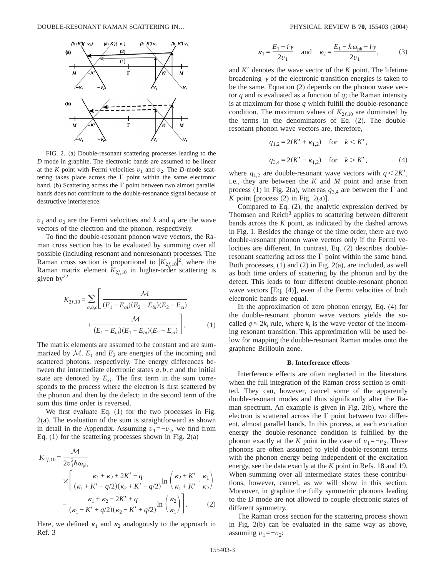

FIG. 2. (a) Double-resonant scattering processes leading to the *D* mode in graphite. The electronic bands are assumed to be linear at the *K* point with Fermi velocities  $v_1$  and  $v_2$ . The *D*-mode scattering takes place across the  $\Gamma$  point within the same electronic band. (b) Scattering across the  $\Gamma$  point between two almost parallel bands does not contribute to the double-resonance signal because of destructive interference.

 $v_1$  and  $v_2$  are the Fermi velocities and *k* and *q* are the wave vectors of the electron and the phonon, respectively.

To find the double-resonant phonon wave vectors, the Raman cross section has to be evaluated by summing over all possible (including resonant and nonresonant) processes. The Raman cross section is proportional to  $|K_{2f,10}|^2$ , where the Raman matrix element  $K_{2f,10}$  in higher-order scattering is given  $bv^{22}$ 

$$
K_{2f,10} = \sum_{a,b,c} \left[ \frac{\mathcal{M}}{(E_1 - E_{ai})(E_2 - E_{bi})(E_2 - E_{ci})} + \frac{\mathcal{M}}{(E_1 - E_{ai})(E_1 - E_{bi})(E_2 - E_{ci})} \right].
$$
 (1)

The matrix elements are assumed to be constant and are summarized by  $M$ .  $E_1$  and  $E_2$  are energies of the incoming and scattered photons, respectively. The energy differences between the intermediate electronic states  $a, b, c$  and the initial state are denoted by  $E_{xi}$ . The first term in the sum corresponds to the process where the electron is first scattered by the phonon and then by the defect; in the second term of the sum this time order is reversed.

We first evaluate Eq. (1) for the two processes in Fig. 2(a). The evaluation of the sum is straightforward as shown in detail in the Appendix. Assuming  $v_1 = -v_2$ , we find from Eq.  $(1)$  for the scattering processes shown in Fig.  $2(a)$ 

$$
K_{2f,10} = \frac{\mathcal{M}}{2v_1^2\hbar\omega_{\text{ph}}} \times \left[ \frac{\kappa_1 + \kappa_2 + 2K' - q}{(\kappa_1 + K' - q/2)(\kappa_2 + K' - q/2)} \ln \left( \frac{\kappa_2 + K'}{\kappa_1 + K'} \cdot \frac{\kappa_1}{\kappa_2} \right) - \frac{\kappa_1 + \kappa_2 - 2K' + q}{(\kappa_1 - K' + q/2)(\kappa_2 - K' + q/2)} \ln \left( \frac{\kappa_2}{\kappa_1} \right) \right].
$$
 (2)

Here, we defined  $\kappa_1$  and  $\kappa_2$  analogously to the approach in Ref. 3

$$
\kappa_1 = \frac{E_1 - i\gamma}{2v_1} \quad \text{and} \quad \kappa_2 = \frac{E_1 - \hbar \omega_{\text{ph}} - i\gamma}{2v_1},\tag{3}
$$

and  $K'$  denotes the wave vector of the  $K$  point. The lifetime broadening  $\gamma$  of the electronic transition energies is taken to be the same. Equation (2) depends on the phonon wave vector *q* and is evaluated as a function of *q*; the Raman intensity is at maximum for those *q* which fulfill the double-resonance condition. The maximum values of  $K_{2f,10}$  are dominated by the terms in the denominators of Eq. (2). The doubleresonant phonon wave vectors are, therefore,

$$
q_{1,2} = 2(K' + \kappa_{1,2})
$$
 for  $k < K'$ ,  
 $q_{3,4} = 2(K' - \kappa_{1,2})$  for  $k > K'$ , (4)

where  $q_{1,2}$  are double-resonant wave vectors with  $q \leq 2K'$ , i.e., they are between the *K* and *M* point and arise from process (1) in Fig. 2(a), whereas  $q_{3,4}$  are between the  $\Gamma$  and *K* point [process  $(2)$  in Fig.  $2(a)$ ].

Compared to Eq. (2), the analytic expression derived by Thomsen and Reich<sup>3</sup> applies to scattering between different bands across the *K* point, as indicated by the dashed arrows in Fig. 1. Besides the change of the time order, there are two double-resonant phonon wave vectors only if the Fermi velocities are different. In contrast, Eq. (2) describes doubleresonant scattering across the  $\Gamma$  point within the same band. Both processes, (1) and (2) in Fig. 2(a), are included, as well as both time orders of scattering by the phonon and by the defect. This leads to four different double-resonant phonon wave vectors [Eq. (4)], even if the Fermi velocities of both electronic bands are equal.

In the approximation of zero phonon energy, Eq. (4) for the double-resonant phonon wave vectors yields the socalled  $q \approx 2k_i$  rule, where  $k_i$  is the wave vector of the incoming resonant transition. This approximation will be used below for mapping the double-resonant Raman modes onto the graphene Brillouin zone.

#### **B. Interference effects**

Interference effects are often neglected in the literature, when the full integration of the Raman cross section is omitted. They can, however, cancel some of the apparently double-resonant modes and thus significantly alter the Raman spectrum. An example is given in Fig. 2(b), where the electron is scattered across the  $\Gamma$  point between two different, almost parallel bands. In this process, at each excitation energy the double-resonance condition is fulfilled by the phonon exactly at the *K* point in the case of  $v_1 = -v_2$ . These phonons are often assumed to yield double-resonant terms with the phonon energy being independent of the excitation energy, see the data exactly at the *K* point in Refs. 18 and 19. When summing over all intermediate states these contributions, however, cancel, as we will show in this section. Moreover, in graphite the fully symmetric phonons leading to the *D* mode are not allowed to couple electronic states of different symmetry.

The Raman cross section for the scattering process shown in Fig. 2(b) can be evaluated in the same way as above, assuming  $v_1 = -v_2$ :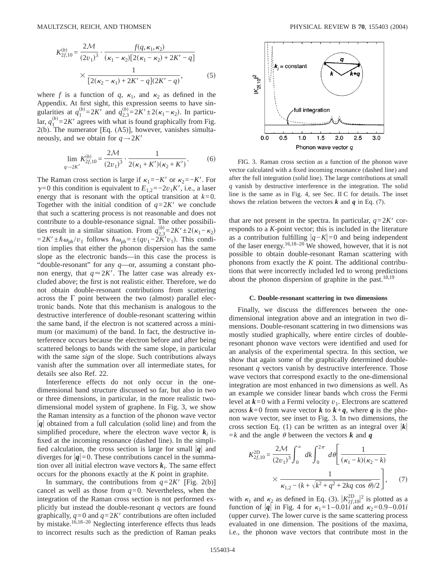$$
K_{2f,10}^{(b)} = \frac{2\mathcal{M}}{(2v_1)^3} \cdot \frac{f(q,\kappa_1,\kappa_2)}{(\kappa_1 - \kappa_2)[2(\kappa_1 - \kappa_2) + 2K' - q]} \times \frac{1}{[2(\kappa_2 - \kappa_1) + 2K' - q](2K' - q)},
$$
(5)

where *f* is a function of *q*,  $\kappa_1$ , and  $\kappa_2$  as defined in the Appendix. At first sight, this expression seems to have singularities at  $q_1^{(b)} = 2K'$  and  $q_{2,3}^{(b)} = 2K' \pm 2(\kappa_1 - \kappa_2)$ . In particular,  $q_1^{(b)} = 2K'$  agrees with what is found graphically from Fig. 2(b). The numerator [Eq. (A5)], however, vanishes simultaneously, and we obtain for  $q \rightarrow 2K'$ 

$$
\lim_{q \to 2K'} K_{2f,10}^{(b)} = \frac{2\mathcal{M}}{(2v_1)^3} \cdot \frac{1}{2(\kappa_1 + K')(\kappa_2 + K')}.
$$
 (6)

The Raman cross section is large if  $\kappa_1 = -K'$  or  $\kappa_2 = -K'$ . For  $\gamma=0$  this condition is equivalent to  $E_{1,2}=-2v_1K'$ , i.e., a laser energy that is resonant with the optical transition at  $k=0$ . Together with the initial condition of  $q=2K'$  we conclude that such a scattering process is not reasonable and does not contribute to a double-resonance signal. The other possibilities result in a similar situation. From  $q_{2,3}^{(b)} = 2K' \pm 2(\kappa_1 - \kappa_2)$  $=2K' \pm \hbar \omega_{ph}/v_1$  follows  $\hbar \omega_{ph} = \pm (qv_1 - 2K'v_1)$ . This condition implies that either the phonon dispersion has the same slope as the electronic bands—in this case the process is "double-resonant" for any *q*—or, assuming a constant phonon energy, that  $q \approx 2K'$ . The latter case was already excluded above; the first is not realistic either. Therefore, we do not obtain double-resonant contributions from scattering across the  $\Gamma$  point between the two (almost) parallel electronic bands. Note that this mechanism is analogous to the destructive interference of double-resonant scattering within the same band, if the electron is not scattered across a minimum (or maximum) of the band. In fact, the destructive interference occurs because the electron before and after being scattered belongs to bands with the same slope, in particular with the same *sign* of the slope. Such contributions always vanish after the summation over all intermediate states, for details see also Ref. 22.

Interference effects do not only occur in the onedimensional band structure discussed so far, but also in two or three dimensions, in particular, in the more realistic twodimensional model system of graphene. In Fig. 3, we show the Raman intensity as a function of the phonon wave vector  $|q|$  obtained from a full calculation (solid line) and from the simplified procedure, where the electron wave vector  $k_i$  is fixed at the incoming resonance (dashed line). In the simplified calculation, the cross section is large for small  $|q|$  and diverges for  $|q|=0$ . These contributions cancel in the summation over all initial electron wave vectors  $k_i$ . The same effect occurs for the phonons exactly at the *K* point in graphite.

In summary, the contributions from  $q=2K^{\prime}$  [Fig. 2(b)] cancel as well as those from  $q=0$ . Nevertheless, when the integration of the Raman cross section is not performed explicitly but instead the double-resonant *q* vectors are found graphically,  $q=0$  and  $q=2K'$  contributions are often included by mistake.<sup>16,18–20</sup> Neglecting interference effects thus leads to incorrect results such as the prediction of Raman peaks



FIG. 3. Raman cross section as a function of the phonon wave vector calculated with a fixed incoming resonance (dashed line) and after the full integration (solid line). The large contributions at small *q* vanish by destructive interference in the integration. The solid line is the same as in Fig. 4, see Sec. II C for details. The inset shows the relation between the vectors  $k$  and  $q$  in Eq. (7).

that are not present in the spectra. In particular,  $q=2K'$  corresponds to a *K*-point vector; this is included in the literature as a contribution fulfilling  $|q−K|=0$  and being independent of the laser energy.<sup>16,18–20</sup> We showed, however, that it is not possible to obtain double-resonant Raman scattering with phonons from exactly the *K* point. The additional contributions that were incorrectly included led to wrong predictions about the phonon dispersion of graphite in the past.<sup>18,19</sup>

#### **C. Double-resonant scattering in two dimensions**

Finally, we discuss the differences between the onedimensional integration above and an integration in two dimensions. Double-resonant scattering in two dimensions was mostly studied graphically, where entire circles of doubleresonant phonon wave vectors were identified and used for an analysis of the experimental spectra. In this section, we show that again some of the graphically determined doubleresonant *q* vectors vanish by destructive interference. Those wave vectors that correspond exactly to the one-dimensional integration are most enhanced in two dimensions as well. As an example we consider linear bands whch cross the Fermi level at  $k=0$  with a Fermi velocity  $v_1$ . Electrons are scattered across  $k=0$  from wave vector  $k$  to  $k+q$ , where  $q$  is the phonon wave vector, see inset to Fig. 3. In two dimensions, the cross section Eq. (1) can be written as an integral over  $|k|$  $=k$  and the angle  $\theta$  between the vectors *k* and **q** 

$$
K_{2f,10}^{\text{2D}} = \frac{2\mathcal{M}}{(2v_1)^3} \int_0^\infty dk \int_0^{2\pi} d\theta \left[ \frac{1}{(\kappa_1 - k)(\kappa_2 - k)} \times \frac{1}{\kappa_{1,2} - (k + \sqrt{k^2 + q^2 + 2kq \cos \theta})/2} \right],\tag{7}
$$

with  $\kappa_1$  and  $\kappa_2$  as defined in Eq. (3).  $|K_{2f,10}^{\text{2D}}|^2$  is plotted as a function of  $|q|$  in Fig. 4 for  $\kappa_1 = 1 - 0.01i$  and  $\kappa_2 = 0.9 - 0.01i$ (upper curve). The lower curve is the same scattering process evaluated in one dimension. The positions of the maxima, i.e., the phonon wave vectors that contribute most in the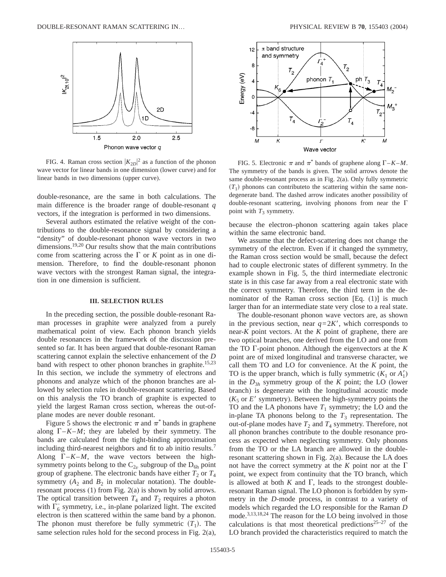

FIG. 4. Raman cross section  $|K_{2D}|^2$  as a function of the phonon wave vector for linear bands in one dimension (lower curve) and for linear bands in two dimensions (upper curve).

double-resonance, are the same in both calculations. The main difference is the broader range of double-resonant *q* vectors, if the integration is performed in two dimensions.

Several authors estimated the relative weight of the contributions to the double-resonance signal by considering a "density" of double-resonant phonon wave vectors in two dimensions.<sup>19,20</sup> Our results show that the main contributions come from scattering across the  $\Gamma$  or *K* point as in one dimension. Therefore, to find the double-resonant phonon wave vectors with the strongest Raman signal, the integration in one dimension is sufficient.

### **III. SELECTION RULES**

In the preceding section, the possible double-resonant Raman processes in graphite were analyzed from a purely mathematical point of view. Each phonon branch yields double resonances in the framework of the discussion presented so far. It has been argued that double-resonant Raman scattering cannot explain the selective enhancement of the *D* band with respect to other phonon branches in graphite.<sup>15,23</sup> In this section, we include the symmetry of electrons and phonons and analyze which of the phonon branches are allowed by selection rules in double-resonant scattering. Based on this analysis the TO branch of graphite is expected to yield the largest Raman cross section, whereas the out-ofplane modes are never double resonant.

Figure 5 shows the electronic  $\pi$  and  $\pi^*$  bands in graphene along  $\Gamma$ –*K*–*M*; they are labeled by their symmetry. The bands are calculated from the tight-binding approximation including third-nearest neighbors and fit to ab initio results.7 Along  $\Gamma$ –*K*–*M*, the wave vectors between the highsymmetry points belong to the  $C_{2v}$  subgroup of the  $D_{6h}$  point group of graphene. The electronic bands have either  $T_2$  or  $T_4$ symmetry  $(A_2$  and  $B_2$  in molecular notation). The doubleresonant process (1) from Fig. 2(a) is shown by solid arrows. The optical transition between  $T_4$  and  $T_2$  requires a photon with  $\Gamma_6^-$  symmetry, i.e., in-plane polarized light. The excited electron is then scattered within the same band by a phonon. The phonon must therefore be fully symmetric  $(T_1)$ . The same selection rules hold for the second process in Fig. 2(a),



FIG. 5. Electronic  $\pi$  and  $\pi^*$  bands of graphene along  $\Gamma$ –*K*–*M*. The symmetry of the bands is given. The solid arrows denote the same double-resonant process as in Fig. 2(a). Only fully symmetric  $(T_1)$  phonons can contribute to the scattering within the same nondegenerate band. The dashed arrow indicates another possibility of double-resonant scattering, involving phonons from near the  $\Gamma$ point with  $T_3$  symmetry.

because the electron–phonon scattering again takes place within the same electronic band.

We assume that the defect-scattering does not change the symmetry of the electron. Even if it changed the symmetry, the Raman cross section would be small, because the defect had to couple electronic states of different symmetry. In the example shown in Fig. 5, the third intermediate electronic state is in this case far away from a real electronic state with the correct symmetry. Therefore, the third term in the denominator of the Raman cross section [Eq. (1)] is much larger than for an intermediate state very close to a real state.

The double-resonant phonon wave vectors are, as shown in the previous section, near  $q=2K'$ , which corresponds to near-*K* point vectors. At the *K* point of graphene, there are two optical branches, one derived from the LO and one from the TO  $\Gamma$ -point phonon. Although the eigenvectors at the  $K$ point are of mixed longitudinal and transverse character, we call them TO and LO for convenience. At the *K* point, the TO is the upper branch, which is fully symmetric  $(K_1 \text{ or } A'_1)$ in the  $D_{3h}$  symmetry group of the *K* point; the LO (lower branch) is degenerate with the longitudinal acoustic mode  $(K<sub>5</sub>$  or *E'* symmetry). Between the high-symmetry points the TO and the LA phonons have  $T_1$  symmetry; the LO and the in-plane TA phonons belong to the  $T_3$  representation. The out-of-plane modes have  $T_2$  and  $T_4$  symmetry. Therefore, not all phonon branches contribute to the double resonance process as expected when neglecting symmetry. Only phonons from the TO or the LA branch are allowed in the doubleresonant scattering shown in Fig. 2(a). Because the LA does not have the correct symmetry at the  $K$  point nor at the  $\Gamma$ point, we expect from continuity that the TO branch, which is allowed at both  $K$  and  $\Gamma$ , leads to the strongest doubleresonant Raman signal. The LO phonon is forbidden by symmetry in the *D*-mode process, in contrast to a variety of models which regarded the LO responsible for the Raman *D* mode.<sup>3,13,18,24</sup> The reason for the LO being involved in those calculations is that most theoretical predictions<sup>25–27</sup> of the LO branch provided the characteristics required to match the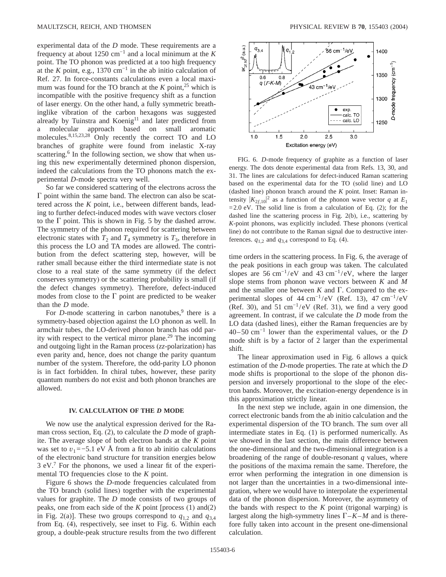experimental data of the *D* mode. These requirements are a frequency at about 1250 cm−1 and a local minimum at the *K* point. The TO phonon was predicted at a too high frequency at the *K* point, e.g., 1370 cm<sup>-1</sup> in the ab initio calculation of Ref. 27. In force-constants calculations even a local maximum was found for the TO branch at the  $K$  point,<sup>25</sup> which is incompatible with the positive frequency shift as a function of laser energy. On the other hand, a fully symmetric breathinglike vibration of the carbon hexagons was suggested already by Tuinstra and Koenig<sup>11</sup> and later predicted from a molecular approach based on small aromatic molecules.<sup>8,15,23,28</sup> Only recently the correct TO and LO branches of graphite were found from inelastic X-ray scattering.<sup>6</sup> In the following section, we show that when using this new experimentally determined phonon dispersion, indeed the calculations from the TO phonons match the experimental *D*-mode spectra very well.

So far we considered scattering of the electrons across the  $\Gamma$  point within the same band. The electron can also be scattered across the *K* point, i.e., between different bands, leading to further defect-induced modes with wave vectors closer to the  $\Gamma$  point. This is shown in Fig. 5 by the dashed arrow. The symmetry of the phonon required for scattering between electronic states with  $T_2$  and  $T_4$  symmetry is  $T_3$ , therefore in this process the LO and TA modes are allowed. The contribution from the defect scattering step, however, will be rather small because either the third intermediate state is not close to a real state of the same symmetry (if the defect conserves symmetry) or the scattering probability is small (if the defect changes symmetry). Therefore, defect-induced modes from close to the  $\Gamma$  point are predicted to be weaker than the *D* mode.

For  $D$ -mode scattering in carbon nanotubes,<sup>9</sup> there is a symmetry-based objection against the LO phonon as well. In armchair tubes, the LO-derived phonon branch has odd parity with respect to the vertical mirror plane.29 The incoming and outgoing light in the Raman process (*zz*-polarization) has even parity and, hence, does not change the parity quantum number of the system. Therefore, the odd-parity LO phonon is in fact forbidden. In chiral tubes, however, these parity quantum numbers do not exist and both phonon branches are allowed.

### **IV. CALCULATION OF THE** *D* **MODE**

We now use the analytical expression derived for the Raman cross section, Eq. (2), to calculate the *D* mode of graphite. The average slope of both electron bands at the *K* point was set to  $v_1$ =−5.1 eV Å from a fit to ab initio calculations of the electronic band structure for transition energies below 3 eV.7 For the phonons, we used a linear fit of the experimental TO frequencies close to the *K* point.

Figure 6 shows the *D*-mode frequencies calculated from the TO branch (solid lines) together with the experimental values for graphite. The *D* mode consists of two groups of peaks, one from each side of the *K* point [process (1) and(2) in Fig. 2(a)]. These two groups correspond to  $q_{1,2}$  and  $q_{3,4}$ from Eq. (4), respectively, see inset to Fig. 6. Within each group, a double-peak structure results from the two different



FIG. 6. *D*-mode frequency of graphite as a function of laser energy. The dots denote experimental data from Refs. 13, 30, and 31. The lines are calculations for defect-induced Raman scattering based on the experimental data for the TO (solid line) and LO (dashed line) phonon branch around the *K* point. Inset: Raman intensity  $|K_{2f,10}|^2$  as a function of the phonon wave vector *q* at  $E_1$  $=2.0$  eV. The solid line is from a calculation of Eq. (2); for the dashed line the scattering process in Fig. 2(b), i.e., scattering by *K*-point phonons, was explicitly included. These phonons (vertical line) do not contribute to the Raman signal due to destructive interferences.  $q_{1,2}$  and  $q_{3,4}$  correspond to Eq. (4).

time orders in the scattering process. In Fig. 6, the average of the peak positions in each group was taken. The calculated slopes are 56 cm<sup>-1</sup>/eV and 43 cm<sup>-1</sup>/eV, where the larger slope stems from phonon wave vectors between *K* and *M* and the smaller one between  $K$  and  $\Gamma$ . Compared to the experimental slopes of 44 cm<sup>-1</sup>/eV (Ref. 13), 47 cm<sup>-1</sup>/eV (Ref. 30), and 51 cm<sup>-1</sup>/eV (Ref. 31), we find a very good agreement. In contrast, if we calculate the *D* mode from the LO data (dashed lines), either the Raman frequencies are by 40–50 cm−1 lower than the experimental values, or the *D* mode shift is by a factor of 2 larger than the experimental shift.

The linear approximation used in Fig. 6 allows a quick estimation of the *D*-mode properties. The rate at which the *D* mode shifts is proportional to the slope of the phonon dispersion and inversely proportional to the slope of the electron bands. Moreover, the excitation-energy dependence is in this approximation strictly linear.

In the next step we include, again in one dimension, the correct electronic bands from the ab initio calculation and the experimental dispersion of the TO branch. The sum over all intermediate states in Eq. (1) is performed numerically. As we showed in the last section, the main difference between the one-dimensional and the two-dimensional integration is a broadening of the range of double-resonant *q* values, where the positions of the maxima remain the same. Therefore, the error when performing the integration in one dimension is not larger than the uncertainties in a two-dimensional integration, where we would have to interpolate the experimental data of the phonon dispersion. Moreover, the asymmetry of the bands with respect to the *K* point (trigonal warping) is largest along the high-symmetry lines  $\Gamma$ – $K$ – $M$  and is therefore fully taken into account in the present one-dimensional calculation.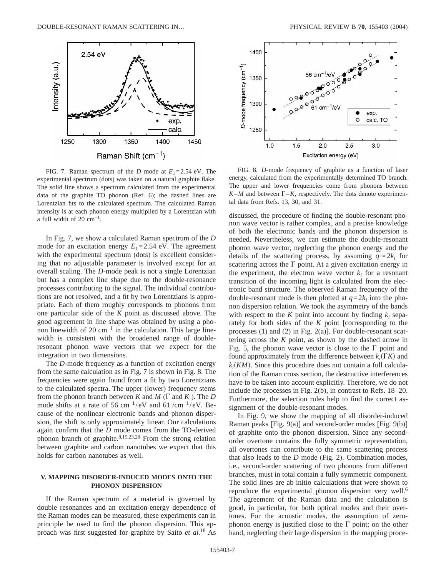

FIG. 7. Raman spectrum of the *D* mode at  $E_1 = 2.54$  eV. The experimental spectrum (dots) was taken on a natural graphite flake. The solid line shows a spectrum calculated from the experimental data of the graphite TO phonon (Ref. 6); the dashed lines are Lorentzian fits to the calculated spectrum. The calculated Raman intensity is at each phonon energy multiplied by a Lorentzian with a full width of 20  $cm^{-1}$ .

In Fig. 7, we show a calculated Raman spectrum of the *D* mode for an excitation energy  $E_1 = 2.54$  eV. The agreement with the experimental spectrum (dots) is excellent considering that no adjustable parameter is involved except for an overall scaling. The *D*-mode peak is not a single Lorentzian but has a complex line shape due to the double-resonance processes contributing to the signal. The individual contributions are not resolved, and a fit by two Lorentzians is appropriate. Each of them roughly corresponds to phonons from one particular side of the *K* point as discussed above. The good agreement in line shape was obtained by using a phonon linewidth of 20  $cm^{-1}$  in the calculation. This large linewidth is consistent with the broadened range of doubleresonant phonon wave vectors that we expect for the integration in two dimensions.

The *D*-mode frequency as a function of excitation energy from the same calculation as in Fig. 7 is shown in Fig. 8. The frequencies were again found from a fit by two Lorentzians to the calculated spectra. The upper (lower) frequency stems from the phonon branch between  $K$  and  $M$  ( $\Gamma$  and  $K$ ). The  $D$ mode shifts at a rate of 56 cm<sup>-1</sup>/eV and 61 /cm<sup>-1</sup>/eV. Because of the nonlinear electronic bands and phonon dispersion, the shift is only approximately linear. Our calculations again confirm that the *D* mode comes from the TO-derived phonon branch of graphite. $8,15,23,28$  From the strong relation between graphite and carbon nanotubes we expect that this holds for carbon nanotubes as well.

## **V. MAPPING DISORDER-INDUCED MODES ONTO THE PHONON DISPERSION**

If the Raman spectrum of a material is governed by double resonances and an excitation-energy dependence of the Raman modes can be measured, these experiments can in principle be used to find the phonon dispersion. This approach was first suggested for graphite by Saito *et al.*<sup>18</sup> As



FIG. 8. *D*-mode frequency of graphite as a function of laser energy, calculated from the experimentally determined TO branch. The upper and lower frequencies come from phonons between  $K-M$  and between  $\Gamma-K$ , respectively. The dots denote experimental data from Refs. 13, 30, and 31.

discussed, the procedure of finding the double-resonant phonon wave vector is rather complex, and a precise knowledge of both the electronic bands and the phonon dispersion is needed. Nevertheless, we can estimate the double-resonant phonon wave vector, neglecting the phonon energy and the details of the scattering process, by assuming  $q \approx 2k_i$  for scattering across the  $\Gamma$  point. At a given excitation energy in the experiment, the electron wave vector  $k_i$  for a resonant transition of the incoming light is calculated from the electronic band structure. The observed Raman frequency of the double-resonant mode is then plotted at  $q=2k_i$  into the phonon dispersion relation. We took the asymmetry of the bands with respect to the  $K$  point into account by finding  $k_i$  separately for both sides of the *K* point [corresponding to the processes (1) and (2) in Fig. 2(a)]. For double-resonant scattering across the *K* point, as shown by the dashed arrow in Fig. 5, the phonon wave vector is close to the  $\Gamma$  point and found approximately from the difference between  $k_i(\Gamma K)$  and  $k_i(KM)$ . Since this procedure does not contain a full calculation of the Raman cross section, the destructive interferences have to be taken into account explicitly. Therefore, we do not include the processes in Fig. 2(b), in contrast to Refs. 18–20. Furthermore, the selection rules help to find the correct assignment of the double-resonant modes.

In Fig. 9, we show the mapping of all disorder-induced Raman peaks [Fig. 9(a)] and second-order modes [Fig. 9(b)] of graphite onto the phonon dispersion. Since any secondorder overtone contains the fully symmetric representation, all overtones can contribute to the same scattering process that also leads to the *D* mode (Fig. 2). Combination modes, i.e., second-order scattering of two phonons from different branches, must in total contain a fully symmetric component. The solid lines are ab initio calculations that were shown to reproduce the experimental phonon dispersion very well.<sup>6</sup> The agreement of the Raman data and the calculation is good, in particular, for both optical modes and their overtones. For the acoustic modes, the assumption of zerophonon energy is justified close to the  $\Gamma$  point; on the other hand, neglecting their large dispersion in the mapping proce-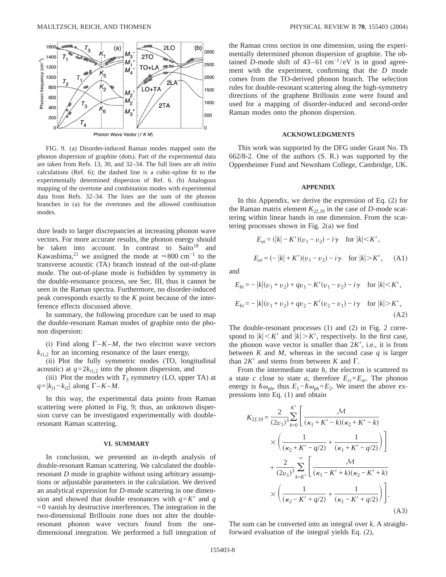

FIG. 9. (a) Disorder-induced Raman modes mapped onto the phonon dispersion of graphite (dots). Part of the experimental data are taken from Refs. 13, 30, and 32–34. The full lines are *ab initio* calculations (Ref. 6); the dashed line is a cubic-spline fit to the experimentally determined dispersion of Ref. 6. (b) Analogous mapping of the overtone and combination modes with experimental data from Refs. 32–34. The lines are the sum of the phonon branches in (a) for the overtones and the allowed combination modes.

dure leads to larger discrepancies at increasing phonon wave vectors. For more accurate results, the phonon energy should be taken into account. In contrast to Saito<sup>18</sup> and Kawashima,<sup>21</sup> we assigned the mode at  $\approx 800 \text{ cm}^{-1}$  to the transverse acoustic (TA) branch instead of the out-of-plane mode. The out-of-plane mode is forbidden by symmetry in the double-resonance process, see Sec. III, thus it cannot be seen in the Raman spectra. Furthermore, no disorder-induced peak corresponds exactly to the *K* point because of the interference effects discussed above.

In summary, the following procedure can be used to map the double-resonant Raman modes of graphite onto the phonon dispersion:

(i) Find along  $\Gamma$ –*K*–*M*, the two electron wave vectors  $k<sub>i1.2</sub>$  for an incoming resonance of the laser energy,

(ii) Plot the fully symmetric modes (TO, longitudinal acoustic) at  $q=2k_{i1,2}$  into the phonon dispersion, and

(iii) Plot the modes with  $T_3$  symmetry (LO, upper TA) at  $q = |k_{i1} - k_{i2}|$  along  $\Gamma - K - M$ .

In this way, the experimental data points from Raman scattering were plotted in Fig. 9; thus, an unknown dispersion curve can be investigated experimentally with doubleresonant Raman scattering.

#### **VI. SUMMARY**

In conclusion, we presented an in-depth analysis of double-resonant Raman scattering. We calculated the doubleresonant *D* mode in graphite without using arbitrary assumptions or adjustable parameters in the calculation. We derived an analytical expression for *D*-mode scattering in one dimension and showed that double resonances with  $q = K'$  and *q*  $=0$  vanish by destructive interferences. The integration in the two-dimensional Brillouin zone does not alter the doubleresonant phonon wave vectors found from the onedimensional integration. We performed a full integration of the Raman cross section in one dimension, using the experimentally determined phonon dispersion of graphite. The obtained *D*-mode shift of  $43-61$  cm<sup>-1</sup>/eV is in good agreement with the experiment, confirming that the *D* mode comes from the TO-derived phonon branch. The selection rules for double-resonant scattering along the high-symmetry directions of the graphene Brillouin zone were found and used for a mapping of disorder-induced and second-order Raman modes onto the phonon dispersion.

#### **ACKNOWLEDGMENTS**

This work was supported by the DFG under Grant No. Th 662/8-2. One of the authors (S. R.) was supported by the Oppenheimer Fund and Newnham College, Cambridge, UK.

#### **APPENDIX**

In this Appendix, we derive the expression of Eq. (2) for the Raman matrix element  $K_{2f,10}$  in the case of *D*-mode scattering within linear bands in one dimension. From the scattering processes shown in Fig. 2(a) we find

$$
E_{ai} = (|k| - K')(v_1 - v_2) - i\gamma \quad \text{for } |k| < K',
$$
\n
$$
E_{ai} = (-|k| + K')(v_1 - v_2) - i\gamma \quad \text{for } |k| > K', \quad \text{(A1)}
$$

and

$$
E_{bi} = -|k|(v_1 + v_2) + qv_1 - K'(v_1 - v_2) - i\gamma \quad \text{for } |k| < K',
$$
\n
$$
E_{bi} = -|k|(v_1 + v_2) + qv_2 - K'(v_2 - v_1) - i\gamma \quad \text{for } |k| > K',
$$
\n(A2)

The double-resonant processes (1) and (2) in Fig. 2 correspond to  $|k| < K'$  and  $|k| > K'$ , respectively. In the first case, the phonon wave vector is smaller than  $2K'$ , i.e., it is from between  $K$  and  $M$ , whereas in the second case  $q$  is larger than  $2K'$  and stems from between *K* and  $\Gamma$ .

From the intermediate state *b*, the electron is scattered to a state *c* close to state *a*, therefore  $E_{ci} = E_{ai}$ . The phonon energy is  $\hbar \omega_{\text{ph}}$ , thus  $E_1 - \hbar \omega_{\text{ph}} = E_2$ . We insert the above expressions into Eq. (1) and obtain

$$
K_{2f,10} = \frac{2}{(2v_1)^3} \sum_{k=0}^{K'} \left[ \frac{\mathcal{M}}{(\kappa_1 + K' - k)(\kappa_2 + K' - k)} \times \left( \frac{1}{(\kappa_2 + K' - q/2)} + \frac{1}{(\kappa_1 + K' - q/2)} \right) \right] + \frac{2}{(2v_1)^3} \sum_{k=K'}^{\infty} \left[ \frac{\mathcal{M}}{(\kappa_1 - K' + k)(\kappa_2 - K' + k)} \times \left( \frac{1}{(\kappa_2 - K' + q/2)} + \frac{1}{(\kappa_1 - K' + q/2)} \right) \right].
$$
\n(A3)

The sum can be converted into an integral over *k*. A straightforward evaluation of the integral yields Eq. (2),